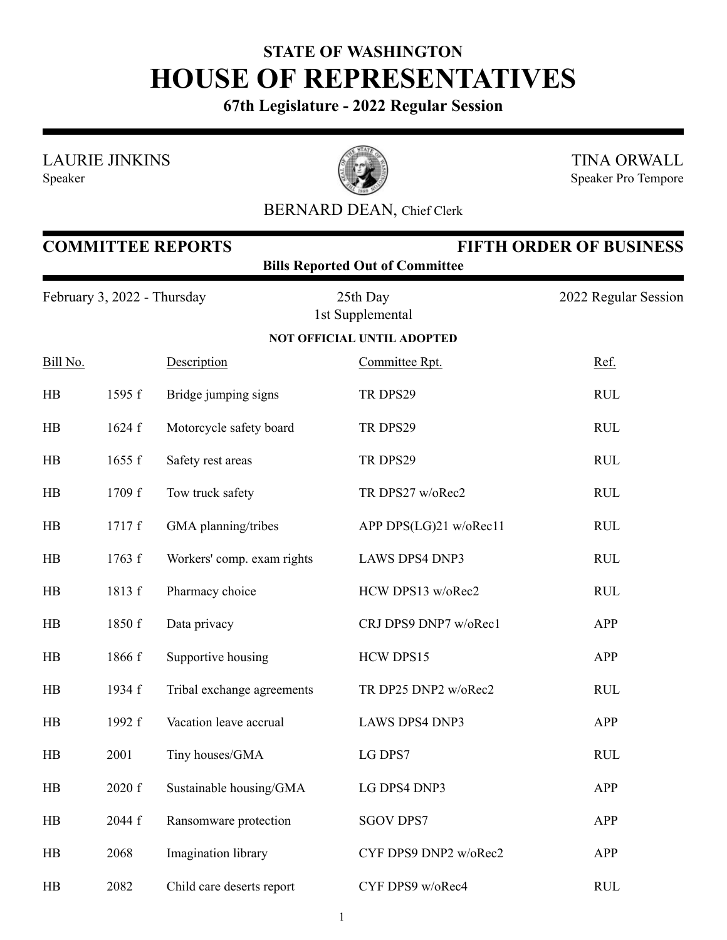## **STATE OF WASHINGTON HOUSE OF REPRESENTATIVES**

**67th Legislature - 2022 Regular Session**

LAURIE JINKINS





TINA ORWALL Speaker Pro Tempore

## BERNARD DEAN, Chief Clerk

| <b>FIFTH ORDER OF BUSINESS</b><br><b>COMMITTEE REPORTS</b><br><b>Bills Reported Out of Committee</b> |        |                            |                                   |                      |
|------------------------------------------------------------------------------------------------------|--------|----------------------------|-----------------------------------|----------------------|
| February 3, 2022 - Thursday                                                                          |        |                            | 25th Day<br>1st Supplemental      | 2022 Regular Session |
|                                                                                                      |        |                            | <b>NOT OFFICIAL UNTIL ADOPTED</b> |                      |
| Bill No.                                                                                             |        | Description                | Committee Rpt.                    | Ref.                 |
| HB                                                                                                   | 1595 f | Bridge jumping signs       | TR DPS29                          | <b>RUL</b>           |
| HB                                                                                                   | 1624 f | Motorcycle safety board    | TR DPS29                          | <b>RUL</b>           |
| HB                                                                                                   | 1655 f | Safety rest areas          | TR DPS29                          | <b>RUL</b>           |
| HB                                                                                                   | 1709 f | Tow truck safety           | TR DPS27 w/oRec2                  | <b>RUL</b>           |
| HB                                                                                                   | 1717 f | GMA planning/tribes        | APP DPS(LG)21 w/oRec11            | <b>RUL</b>           |
| HB                                                                                                   | 1763 f | Workers' comp. exam rights | <b>LAWS DPS4 DNP3</b>             | <b>RUL</b>           |
| HB                                                                                                   | 1813 f | Pharmacy choice            | HCW DPS13 w/oRec2                 | <b>RUL</b>           |
| HB                                                                                                   | 1850 f | Data privacy               | CRJ DPS9 DNP7 w/oRec1             | APP                  |
| HB                                                                                                   | 1866 f | Supportive housing         | HCW DPS15                         | <b>APP</b>           |
| HB                                                                                                   | 1934 f | Tribal exchange agreements | TR DP25 DNP2 w/oRec2              | <b>RUL</b>           |
| HB                                                                                                   | 1992 f | Vacation leave accrual     | <b>LAWS DPS4 DNP3</b>             | APP                  |
| HB                                                                                                   | 2001   | Tiny houses/GMA            | LG DPS7                           | <b>RUL</b>           |
| HB                                                                                                   | 2020 f | Sustainable housing/GMA    | LG DPS4 DNP3                      | <b>APP</b>           |
| HB                                                                                                   | 2044 f | Ransomware protection      | <b>SGOV DPS7</b>                  | APP                  |
| HB                                                                                                   | 2068   | Imagination library        | CYF DPS9 DNP2 w/oRec2             | APP                  |
| HB                                                                                                   | 2082   | Child care deserts report  | CYF DPS9 w/oRec4                  | <b>RUL</b>           |